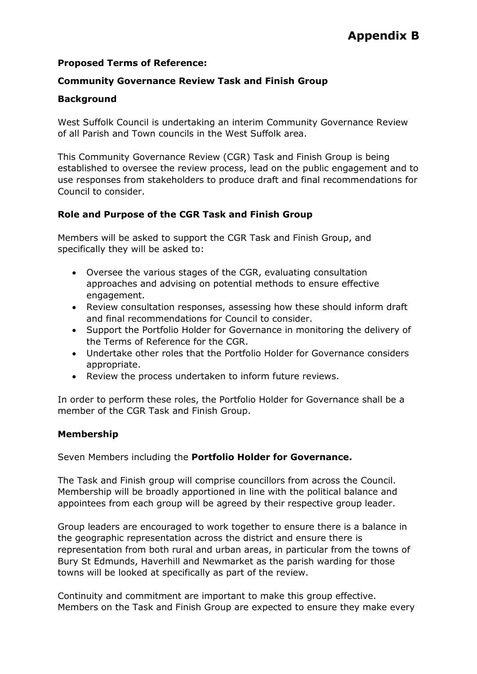### **Proposed Terms of Reference:**

### **Community Governance Review Task and Finish Group**

#### **Background**

West Suffolk Council is undertaking an interim Community Governance Review of all Parish and Town councils in the West Suffolk area.

This Community Governance Review (CGR) Task and Finish Group is being established to oversee the review process, lead on the public engagement and to use responses from stakeholders to produce draft and final recommendations for Council to consider.

#### **Role and Purpose of the CGR Task and Finish Group**

Members will be asked to support the CGR Task and Finish Group, and specifically they will be asked to:

- Oversee the various stages of the CGR, evaluating consultation approaches and advising on potential methods to ensure effective engagement.
- Review consultation responses, assessing how these should inform draft and final recommendations for Council to consider.
- Support the Portfolio Holder for Governance in monitoring the delivery of the Terms of Reference for the CGR.
- Undertake other roles that the Portfolio Holder for Governance considers appropriate.
- Review the process undertaken to inform future reviews.

In order to perform these roles, the Portfolio Holder for Governance shall be a member of the CGR Task and Finish Group.

### **Membership**

Seven Members including the **Portfolio Holder for Governance.** 

The Task and Finish group will comprise councillors from across the Council. Membership will be broadly apportioned in line with the political balance and appointees from each group will be agreed by their respective group leader.

Group leaders are encouraged to work together to ensure there is a balance in the geographic representation across the district and ensure there is representation from both rural and urban areas, in particular from the towns of Bury St Edmunds, Haverhill and Newmarket as the parish warding for those towns will be looked at specifically as part of the review.

Continuity and commitment are important to make this group effective. Members on the Task and Finish Group are expected to ensure they make every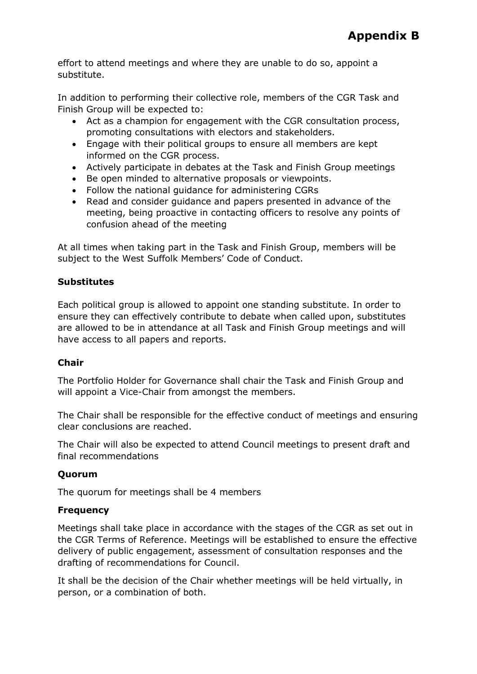effort to attend meetings and where they are unable to do so, appoint a substitute.

In addition to performing their collective role, members of the CGR Task and Finish Group will be expected to:

- Act as a champion for engagement with the CGR consultation process, promoting consultations with electors and stakeholders.
- Engage with their political groups to ensure all members are kept informed on the CGR process.
- Actively participate in debates at the Task and Finish Group meetings
- Be open minded to alternative proposals or viewpoints.
- Follow the national guidance for administering CGRs
- Read and consider guidance and papers presented in advance of the meeting, being proactive in contacting officers to resolve any points of confusion ahead of the meeting

At all times when taking part in the Task and Finish Group, members will be subject to the West Suffolk Members' Code of Conduct.

# **Substitutes**

Each political group is allowed to appoint one standing substitute. In order to ensure they can effectively contribute to debate when called upon, substitutes are allowed to be in attendance at all Task and Finish Group meetings and will have access to all papers and reports.

## **Chair**

The Portfolio Holder for Governance shall chair the Task and Finish Group and will appoint a Vice-Chair from amongst the members.

The Chair shall be responsible for the effective conduct of meetings and ensuring clear conclusions are reached.

The Chair will also be expected to attend Council meetings to present draft and final recommendations

## **Quorum**

The quorum for meetings shall be 4 members

# **Frequency**

Meetings shall take place in accordance with the stages of the CGR as set out in the CGR Terms of Reference. Meetings will be established to ensure the effective delivery of public engagement, assessment of consultation responses and the drafting of recommendations for Council.

It shall be the decision of the Chair whether meetings will be held virtually, in person, or a combination of both.